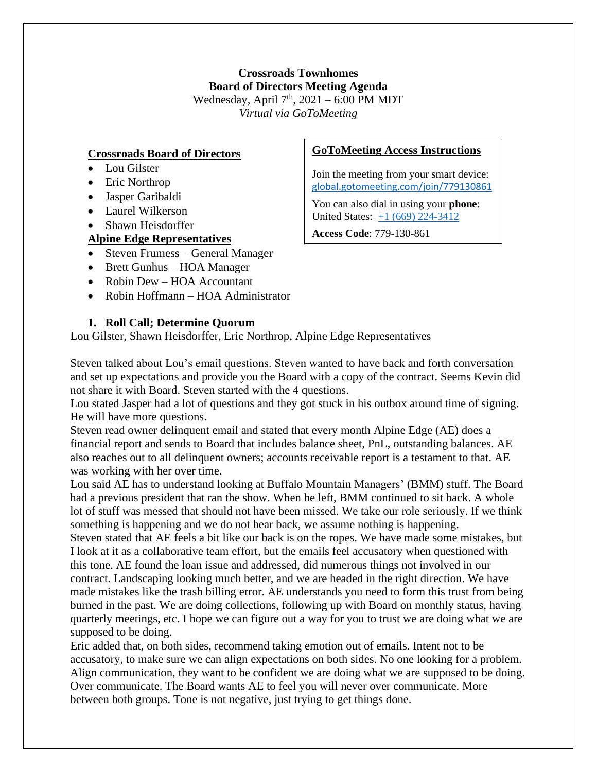# **Crossroads Townhomes Board of Directors Meeting Agenda** Wednesday, April  $7<sup>th</sup>$ , 2021 – 6:00 PM MDT *Virtual via GoToMeeting*

## **Crossroads Board of Directors**

- Lou Gilster
- Eric Northrop
- Jasper Garibaldi
- Laurel Wilkerson
- Shawn Heisdorffer
- **Alpine Edge Representatives**
- Steven Frumess General Manager
- Brett Gunhus HOA Manager
- Robin Dew HOA Accountant
- Robin Hoffmann HOA Administrator

## **1. Roll Call; Determine Quorum**

Lou Gilster, Shawn Heisdorffer, Eric Northrop, Alpine Edge Representatives

Steven talked about Lou's email questions. Steven wanted to have back and forth conversation and set up expectations and provide you the Board with a copy of the contract. Seems Kevin did not share it with Board. Steven started with the 4 questions.

Lou stated Jasper had a lot of questions and they got stuck in his outbox around time of signing. He will have more questions.

Steven read owner delinquent email and stated that every month Alpine Edge (AE) does a financial report and sends to Board that includes balance sheet, PnL, outstanding balances. AE also reaches out to all delinquent owners; accounts receivable report is a testament to that. AE was working with her over time.

Lou said AE has to understand looking at Buffalo Mountain Managers' (BMM) stuff. The Board had a previous president that ran the show. When he left, BMM continued to sit back. A whole lot of stuff was messed that should not have been missed. We take our role seriously. If we think something is happening and we do not hear back, we assume nothing is happening.

Steven stated that AE feels a bit like our back is on the ropes. We have made some mistakes, but I look at it as a collaborative team effort, but the emails feel accusatory when questioned with this tone. AE found the loan issue and addressed, did numerous things not involved in our contract. Landscaping looking much better, and we are headed in the right direction. We have made mistakes like the trash billing error. AE understands you need to form this trust from being burned in the past. We are doing collections, following up with Board on monthly status, having quarterly meetings, etc. I hope we can figure out a way for you to trust we are doing what we are supposed to be doing.

Eric added that, on both sides, recommend taking emotion out of emails. Intent not to be accusatory, to make sure we can align expectations on both sides. No one looking for a problem. Align communication, they want to be confident we are doing what we are supposed to be doing. Over communicate. The Board wants AE to feel you will never over communicate. More between both groups. Tone is not negative, just trying to get things done.

### **GoToMeeting Access Instructions**

Join the meeting from your smart device: [global.gotomeeting.com/join/779130861](https://global.gotomeeting.com/join/779130861)

You can also dial in using your **phone**: United States: [+1 \(669\) 224-3412](tel:+16692243412,,933146157)

**Access Code**: 779-130-861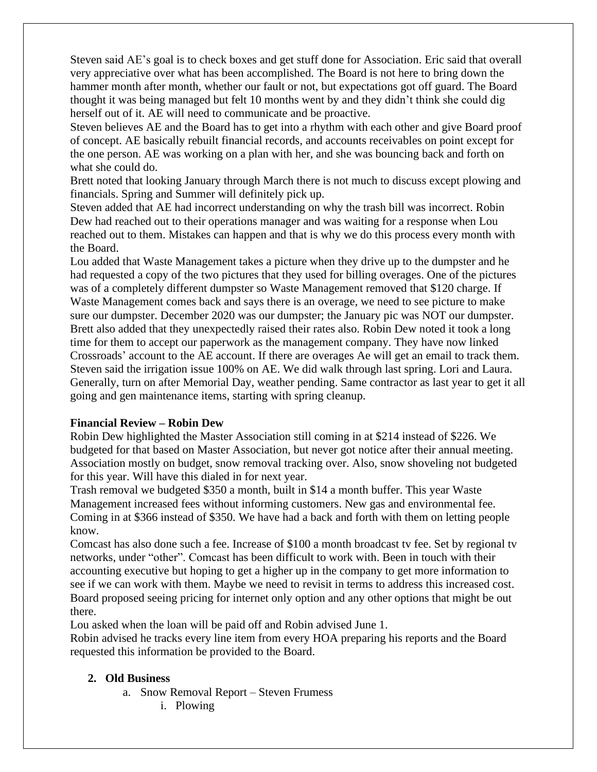Steven said AE's goal is to check boxes and get stuff done for Association. Eric said that overall very appreciative over what has been accomplished. The Board is not here to bring down the hammer month after month, whether our fault or not, but expectations got off guard. The Board thought it was being managed but felt 10 months went by and they didn't think she could dig herself out of it. AE will need to communicate and be proactive.

Steven believes AE and the Board has to get into a rhythm with each other and give Board proof of concept. AE basically rebuilt financial records, and accounts receivables on point except for the one person. AE was working on a plan with her, and she was bouncing back and forth on what she could do.

Brett noted that looking January through March there is not much to discuss except plowing and financials. Spring and Summer will definitely pick up.

Steven added that AE had incorrect understanding on why the trash bill was incorrect. Robin Dew had reached out to their operations manager and was waiting for a response when Lou reached out to them. Mistakes can happen and that is why we do this process every month with the Board.

Lou added that Waste Management takes a picture when they drive up to the dumpster and he had requested a copy of the two pictures that they used for billing overages. One of the pictures was of a completely different dumpster so Waste Management removed that \$120 charge. If Waste Management comes back and says there is an overage, we need to see picture to make sure our dumpster. December 2020 was our dumpster; the January pic was NOT our dumpster. Brett also added that they unexpectedly raised their rates also. Robin Dew noted it took a long time for them to accept our paperwork as the management company. They have now linked Crossroads' account to the AE account. If there are overages Ae will get an email to track them. Steven said the irrigation issue 100% on AE. We did walk through last spring. Lori and Laura. Generally, turn on after Memorial Day, weather pending. Same contractor as last year to get it all going and gen maintenance items, starting with spring cleanup.

### **Financial Review – Robin Dew**

Robin Dew highlighted the Master Association still coming in at \$214 instead of \$226. We budgeted for that based on Master Association, but never got notice after their annual meeting. Association mostly on budget, snow removal tracking over. Also, snow shoveling not budgeted for this year. Will have this dialed in for next year.

Trash removal we budgeted \$350 a month, built in \$14 a month buffer. This year Waste Management increased fees without informing customers. New gas and environmental fee. Coming in at \$366 instead of \$350. We have had a back and forth with them on letting people know.

Comcast has also done such a fee. Increase of \$100 a month broadcast tv fee. Set by regional tv networks, under "other". Comcast has been difficult to work with. Been in touch with their accounting executive but hoping to get a higher up in the company to get more information to see if we can work with them. Maybe we need to revisit in terms to address this increased cost. Board proposed seeing pricing for internet only option and any other options that might be out there.

Lou asked when the loan will be paid off and Robin advised June 1.

Robin advised he tracks every line item from every HOA preparing his reports and the Board requested this information be provided to the Board.

### **2. Old Business**

- a. Snow Removal Report Steven Frumess
	- i. Plowing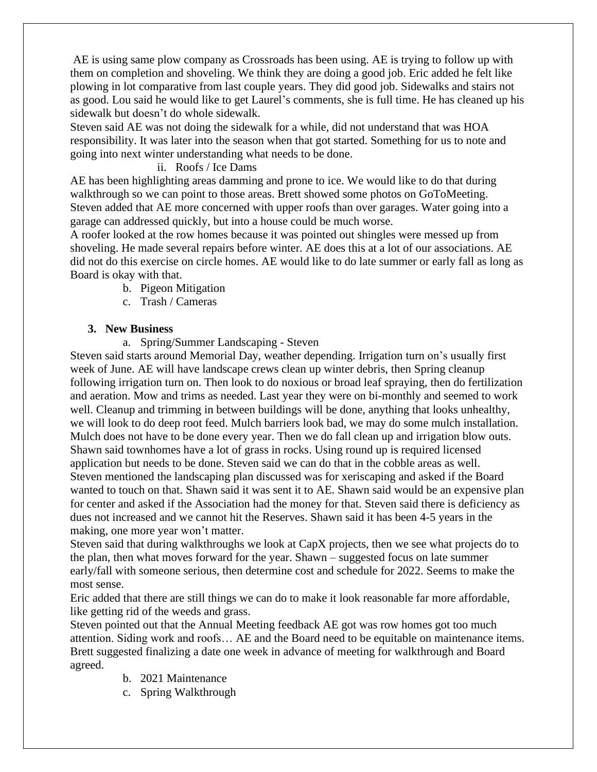AE is using same plow company as Crossroads has been using. AE is trying to follow up with them on completion and shoveling. We think they are doing a good job. Eric added he felt like plowing in lot comparative from last couple years. They did good job. Sidewalks and stairs not as good. Lou said he would like to get Laurel's comments, she is full time. He has cleaned up his sidewalk but doesn't do whole sidewalk.

Steven said AE was not doing the sidewalk for a while, did not understand that was HOA responsibility. It was later into the season when that got started. Something for us to note and going into next winter understanding what needs to be done.

#### ii. Roofs / Ice Dams

AE has been highlighting areas damming and prone to ice. We would like to do that during walkthrough so we can point to those areas. Brett showed some photos on GoToMeeting. Steven added that AE more concerned with upper roofs than over garages. Water going into a garage can addressed quickly, but into a house could be much worse.

A roofer looked at the row homes because it was pointed out shingles were messed up from shoveling. He made several repairs before winter. AE does this at a lot of our associations. AE did not do this exercise on circle homes. AE would like to do late summer or early fall as long as Board is okay with that.

- b. Pigeon Mitigation
- c. Trash / Cameras

#### **3. New Business**

a. Spring/Summer Landscaping - Steven

Steven said starts around Memorial Day, weather depending. Irrigation turn on's usually first week of June. AE will have landscape crews clean up winter debris, then Spring cleanup following irrigation turn on. Then look to do noxious or broad leaf spraying, then do fertilization and aeration. Mow and trims as needed. Last year they were on bi-monthly and seemed to work well. Cleanup and trimming in between buildings will be done, anything that looks unhealthy, we will look to do deep root feed. Mulch barriers look bad, we may do some mulch installation. Mulch does not have to be done every year. Then we do fall clean up and irrigation blow outs. Shawn said townhomes have a lot of grass in rocks. Using round up is required licensed application but needs to be done. Steven said we can do that in the cobble areas as well. Steven mentioned the landscaping plan discussed was for xeriscaping and asked if the Board wanted to touch on that. Shawn said it was sent it to AE. Shawn said would be an expensive plan for center and asked if the Association had the money for that. Steven said there is deficiency as dues not increased and we cannot hit the Reserves. Shawn said it has been 4-5 years in the making, one more year won't matter.

Steven said that during walkthroughs we look at CapX projects, then we see what projects do to the plan, then what moves forward for the year. Shawn – suggested focus on late summer early/fall with someone serious, then determine cost and schedule for 2022. Seems to make the most sense.

Eric added that there are still things we can do to make it look reasonable far more affordable, like getting rid of the weeds and grass.

Steven pointed out that the Annual Meeting feedback AE got was row homes got too much attention. Siding work and roofs… AE and the Board need to be equitable on maintenance items. Brett suggested finalizing a date one week in advance of meeting for walkthrough and Board agreed.

- b. 2021 Maintenance
- c. Spring Walkthrough